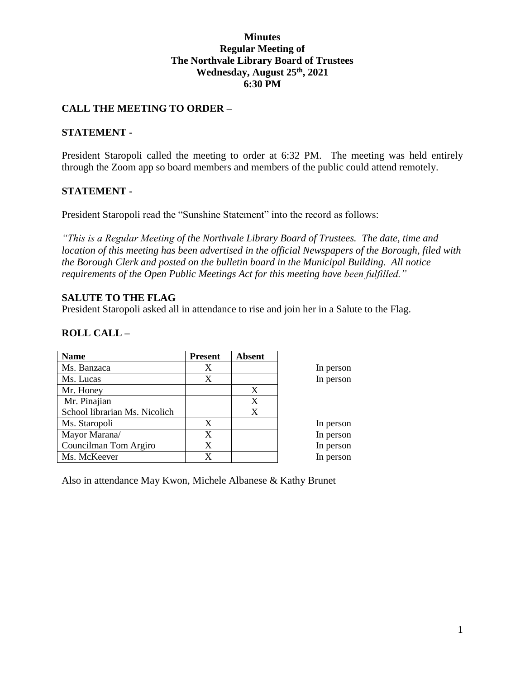### **Minutes Regular Meeting of The Northvale Library Board of Trustees Wednesday, August 25th, 2021 6:30 PM**

### **CALL THE MEETING TO ORDER –**

#### **STATEMENT -**

President Staropoli called the meeting to order at 6:32 PM. The meeting was held entirely through the Zoom app so board members and members of the public could attend remotely.

#### **STATEMENT -**

President Staropoli read the "Sunshine Statement" into the record as follows:

*"This is a Regular Meeting of the Northvale Library Board of Trustees. The date, time and location of this meeting has been advertised in the official Newspapers of the Borough, filed with the Borough Clerk and posted on the bulletin board in the Municipal Building. All notice requirements of the Open Public Meetings Act for this meeting have been fulfilled."* 

#### **SALUTE TO THE FLAG**

President Staropoli asked all in attendance to rise and join her in a Salute to the Flag.

### **ROLL CALL –**

| <b>Name</b>                   | <b>Present</b> | <b>Absent</b> |           |
|-------------------------------|----------------|---------------|-----------|
| Ms. Banzaca                   | X              |               | In person |
| Ms. Lucas                     | X              |               | In person |
| Mr. Honey                     |                | X             |           |
| Mr. Pinajian                  |                | X             |           |
| School librarian Ms. Nicolich |                | X             |           |
| Ms. Staropoli                 | X              |               | In person |
| Mayor Marana/                 | X              |               | In person |
| Councilman Tom Argiro         | X              |               | In person |
| Ms. McKeever                  | X              |               | In person |

Also in attendance May Kwon, Michele Albanese & Kathy Brunet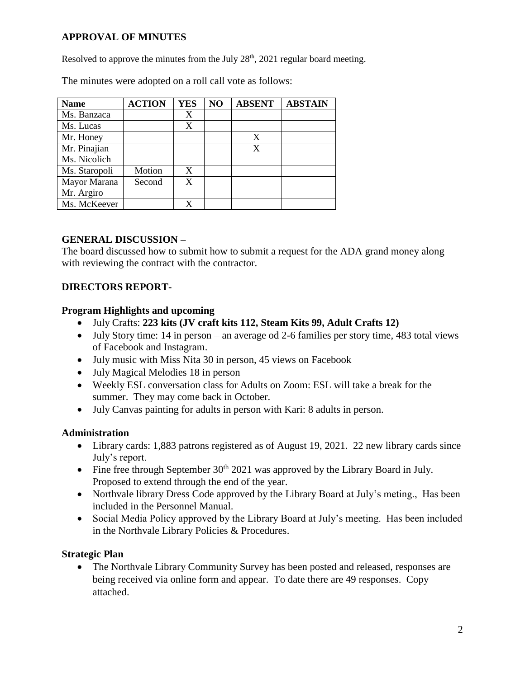# **APPROVAL OF MINUTES**

Resolved to approve the minutes from the July  $28<sup>th</sup>$ ,  $2021$  regular board meeting.

The minutes were adopted on a roll call vote as follows:

| <b>Name</b>   | <b>ACTION</b> | <b>YES</b> | NO | <b>ABSENT</b> | <b>ABSTAIN</b> |
|---------------|---------------|------------|----|---------------|----------------|
| Ms. Banzaca   |               | X          |    |               |                |
| Ms. Lucas     |               | X          |    |               |                |
| Mr. Honey     |               |            |    | X             |                |
| Mr. Pinajian  |               |            |    | X             |                |
| Ms. Nicolich  |               |            |    |               |                |
| Ms. Staropoli | Motion        | X          |    |               |                |
| Mayor Marana  | Second        | X          |    |               |                |
| Mr. Argiro    |               |            |    |               |                |
| Ms. McKeever  |               |            |    |               |                |

## **GENERAL DISCUSSION –**

The board discussed how to submit how to submit a request for the ADA grand money along with reviewing the contract with the contractor.

## **DIRECTORS REPORT-**

### **Program Highlights and upcoming**

- July Crafts: **223 kits (JV craft kits 112, Steam Kits 99, Adult Crafts 12)**
- July Story time: 14 in person an average od 2-6 families per story time, 483 total views of Facebook and Instagram.
- July music with Miss Nita 30 in person, 45 views on Facebook
- July Magical Melodies 18 in person
- Weekly ESL conversation class for Adults on Zoom: ESL will take a break for the summer. They may come back in October.
- July Canvas painting for adults in person with Kari: 8 adults in person.

### **Administration**

- Library cards: 1,883 patrons registered as of August 19, 2021. 22 new library cards since July's report.
- Fine free through September  $30<sup>th</sup> 2021$  was approved by the Library Board in July. Proposed to extend through the end of the year.
- Northvale library Dress Code approved by the Library Board at July's meting., Has been included in the Personnel Manual.
- Social Media Policy approved by the Library Board at July's meeting. Has been included in the Northvale Library Policies & Procedures.

### **Strategic Plan**

• The Northvale Library Community Survey has been posted and released, responses are being received via online form and appear. To date there are 49 responses. Copy attached.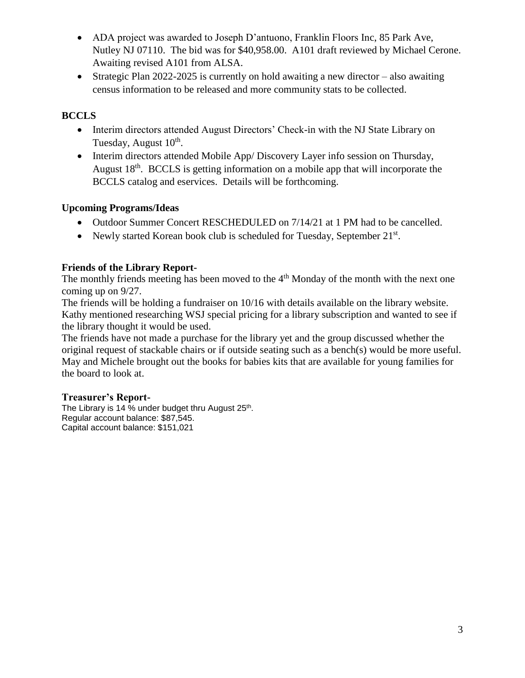- ADA project was awarded to Joseph D'antuono, Franklin Floors Inc, 85 Park Ave, Nutley NJ 07110. The bid was for \$40,958.00. A101 draft reviewed by Michael Cerone. Awaiting revised A101 from ALSA.
- Strategic Plan 2022-2025 is currently on hold awaiting a new director also awaiting census information to be released and more community stats to be collected.

# **BCCLS**

- Interim directors attended August Directors' Check-in with the NJ State Library on Tuesday, August 10<sup>th</sup>.
- Interim directors attended Mobile App/ Discovery Layer info session on Thursday, August 18<sup>th</sup>. BCCLS is getting information on a mobile app that will incorporate the BCCLS catalog and eservices. Details will be forthcoming.

# **Upcoming Programs/Ideas**

- Outdoor Summer Concert RESCHEDULED on 7/14/21 at 1 PM had to be cancelled.
- Newly started Korean book club is scheduled for Tuesday, September 21st.

# **Friends of the Library Report-**

The monthly friends meeting has been moved to the  $4<sup>th</sup>$  Monday of the month with the next one coming up on 9/27.

The friends will be holding a fundraiser on 10/16 with details available on the library website. Kathy mentioned researching WSJ special pricing for a library subscription and wanted to see if the library thought it would be used.

The friends have not made a purchase for the library yet and the group discussed whether the original request of stackable chairs or if outside seating such as a bench(s) would be more useful. May and Michele brought out the books for babies kits that are available for young families for the board to look at.

### **Treasurer's Report-**

The Library is 14 % under budget thru August 25<sup>th</sup>. Regular account balance: \$87,545. Capital account balance: \$151,021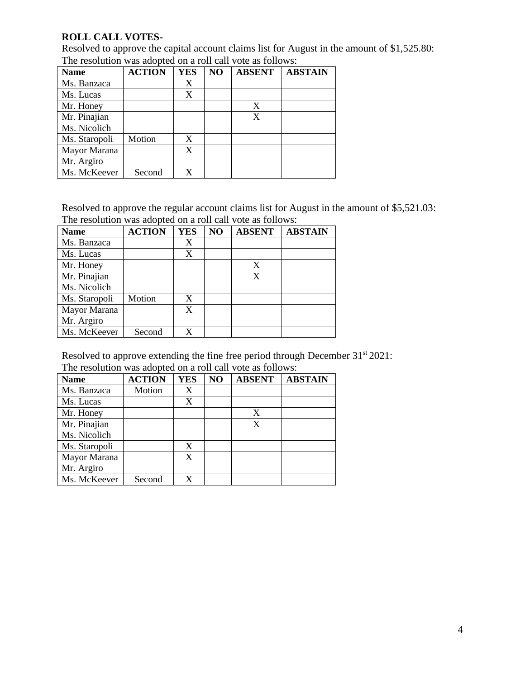### **ROLL CALL VOTES-**

Resolved to approve the capital account claims list for August in the amount of \$1,525.80: The resolution was adopted on a roll call vote as follows:

| <b>Name</b>   | <b>ACTION</b> | <b>YES</b> | NO | <b>ABSENT</b> | <b>ABSTAIN</b> |
|---------------|---------------|------------|----|---------------|----------------|
| Ms. Banzaca   |               | X          |    |               |                |
| Ms. Lucas     |               | X          |    |               |                |
| Mr. Honey     |               |            |    | X             |                |
| Mr. Pinajian  |               |            |    | X             |                |
| Ms. Nicolich  |               |            |    |               |                |
| Ms. Staropoli | Motion        | X          |    |               |                |
| Mayor Marana  |               | X          |    |               |                |
| Mr. Argiro    |               |            |    |               |                |
| Ms. McKeever  | Second        | X          |    |               |                |

Resolved to approve the regular account claims list for August in the amount of \$5,521.03: The resolution was adopted on a roll call vote as follows:

| <b>Name</b>   | <b>ACTION</b> | <b>YES</b> | NO | <b>ABSENT</b> | <b>ABSTAIN</b> |
|---------------|---------------|------------|----|---------------|----------------|
| Ms. Banzaca   |               | X          |    |               |                |
| Ms. Lucas     |               | X          |    |               |                |
| Mr. Honey     |               |            |    | X             |                |
| Mr. Pinajian  |               |            |    | X             |                |
| Ms. Nicolich  |               |            |    |               |                |
| Ms. Staropoli | Motion        | X          |    |               |                |
| Mayor Marana  |               | X          |    |               |                |
| Mr. Argiro    |               |            |    |               |                |
| Ms. McKeever  | Second        | X          |    |               |                |

Resolved to approve extending the fine free period through December 31<sup>st</sup> 2021: The resolution was adopted on a roll call vote as follows:

| <b>Name</b>   | <b>ACTION</b> | <b>YES</b> | NO | <b>ABSENT</b> | <b>ABSTAIN</b> |
|---------------|---------------|------------|----|---------------|----------------|
| Ms. Banzaca   | Motion        | X          |    |               |                |
| Ms. Lucas     |               | X          |    |               |                |
| Mr. Honey     |               |            |    | X             |                |
| Mr. Pinajian  |               |            |    | X             |                |
| Ms. Nicolich  |               |            |    |               |                |
| Ms. Staropoli |               | X          |    |               |                |
| Mayor Marana  |               | X          |    |               |                |
| Mr. Argiro    |               |            |    |               |                |
| Ms. McKeever  | Second        | X          |    |               |                |